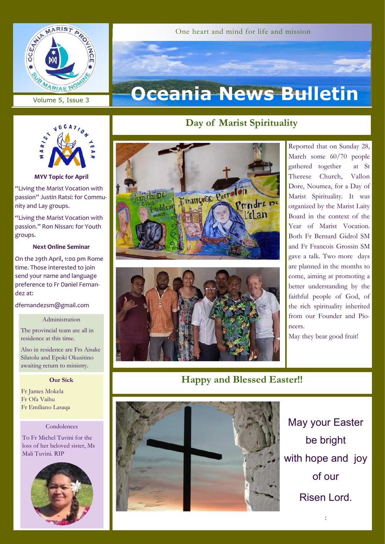

Volume 5, Issue 3

#### One heart and mind for life and mission

# **Oceania News Bulletin**



**MYV Topic for April**

"Living the Marist Vocation with passion" Justin Ratsi: for Community and Lay groups.

"Living the Marist Vocation with passion." Ron Nissan: for Youth groups.

#### **Next Online Seminar**

On the 29th April, 1:00 pm Rome time. Those interested to join send your name and language preference to Fr Daniel Fernandez at:

dfernandezsm@gmail.com

#### Administration

The provincial team are all in residence at this time.

Also in residence are Frs Aisake Silatolu and Epoki Okusitino awaiting return to ministry.

#### **Our Sick**

Fr James Mokela Fr Ofa Vaihu Fr Emiliano Lasaqa

#### Condolences

To Fr Michel Tuvini for the loss of her beloved sister, Ms Mali Tuvini. RIP



# **Day of Marist Spirituality**





Reported that on Sunday 28, March some 60/70 people gathered together at St Therese Church, Vallon Dore, Noumea, for a Day of Marist Spirituality. It was organized by the Marist Laity Board in the context of the Year of Marist Vocation. Both Fr Bernard Gidrol SM and Fr Francois Grossin SM gave a talk. Two more days are planned in the months to come, aiming at promoting a better understanding by the faithful people of God, of the rich spirituality inherited from our Founder and Pioneers.

May they bear good fruit!

## **Happy and Blessed Easter!!**



May your Easter be bright with hope and joy of our Risen Lord.

: